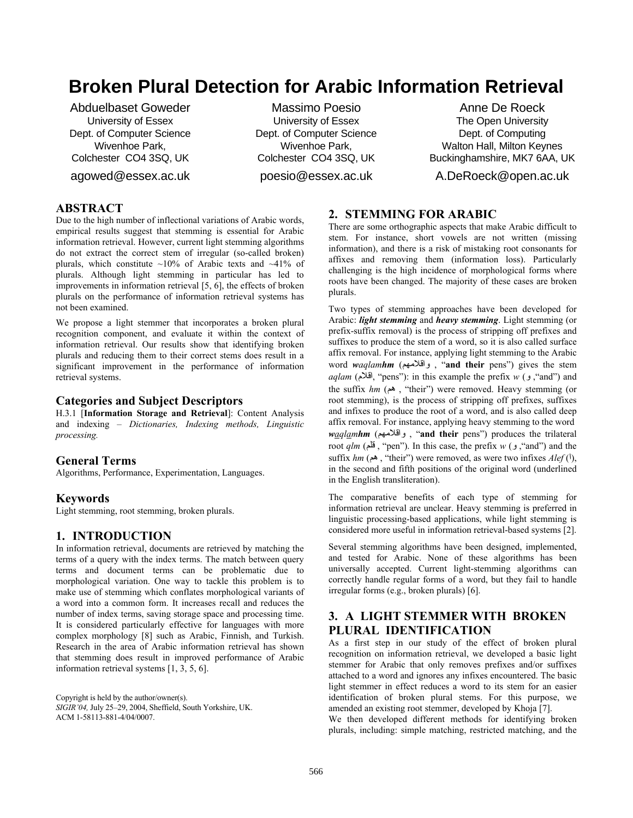# **Broken Plural Detection for Arabic Information Retrieval**

Abduelbaset Goweder University of Essex Dept. of Computer Science Wivenhoe Park, Colchester CO4 3SQ, UK

agowed@essex.ac.uk

Massimo Poesio University of Essex Dept. of Computer Science Wivenhoe Park, Colchester CO4 3SQ, UK poesio@essex.ac.uk

Anne De Roeck The Open University Dept. of Computing Walton Hall, Milton Keynes Buckinghamshire, MK7 6AA, UK

A.DeRoeck@open.ac.uk

## **ABSTRACT**

Due to the high number of inflectional variations of Arabic words, empirical results suggest that stemming is essential for Arabic information retrieval. However, current light stemming algorithms do not extract the correct stem of irregular (so-called broken) plurals, which constitute  $\sim 10\%$  of Arabic texts and  $\sim 41\%$  of plurals. Although light stemming in particular has led to improvements in information retrieval [5, 6], the effects of broken plurals on the performance of information retrieval systems has not been examined.

We propose a light stemmer that incorporates a broken plural recognition component, and evaluate it within the context of information retrieval. Our results show that identifying broken plurals and reducing them to their correct stems does result in a significant improvement in the performance of information retrieval systems.

#### **Categories and Subject Descriptors**

H.3.1 [**Information Storage and Retrieval**]: Content Analysis and indexing – *Dictionaries, Indexing methods, Linguistic processing.* 

#### **General Terms**

Algorithms, Performance, Experimentation, Languages.

#### **Keywords**

Light stemming, root stemming, broken plurals.

### **1. INTRODUCTION**

In information retrieval, documents are retrieved by matching the terms of a query with the index terms. The match between query terms and document terms can be problematic due to morphological variation. One way to tackle this problem is to make use of stemming which conflates morphological variants of a word into a common form. It increases recall and reduces the number of index terms, saving storage space and processing time. It is considered particularly effective for languages with more complex morphology [8] such as Arabic, Finnish, and Turkish. Research in the area of Arabic information retrieval has shown that stemming does result in improved performance of Arabic information retrieval systems [1, 3, 5, 6].

Copyright is held by the author/owner(s). *SIGIR'04,* July 25–29, 2004, Sheffield, South Yorkshire, UK. ACM 1-58113-881-4/04/0007.

#### **2. STEMMING FOR ARABIC**

There are some orthographic aspects that make Arabic difficult to stem. For instance, short vowels are not written (missing information), and there is a risk of mistaking root consonants for affixes and removing them (information loss). Particularly challenging is the high incidence of morphological forms where roots have been changed. The majority of these cases are broken plurals.

Two types of stemming approaches have been developed for Arabic: *light stemming* and *heavy stemming*. Light stemming (or prefix-suffix removal) is the process of stripping off prefixes and suffixes to produce the stem of a word, so it is also called surface affix removal. For instance, applying light stemming to the Arabic word *waqlamhm* (واقلامهم , "and their pens") gives the stem *aqlam* ("pens"): in this example the prefix *w* ( $\epsilon$ ) and") and the suffix *hm* (هم ," their") were removed. Heavy stemming (or root stemming), is the process of stripping off prefixes, suffixes and infixes to produce the root of a word, and is also called deep affix removal. For instance, applying heavy stemming to the word *waqlamhm* (واقلامهم , "**and their** pens") produces the trilateral root *qlm* (قلم, "pen"). In this case, the prefix *w* ( $\bullet$ , "and") and the suffix *hm* (هم), "their") were removed, as were two infixes *Alef* ( $\theta$ ), in the second and fifth positions of the original word (underlined in the English transliteration).

The comparative benefits of each type of stemming for information retrieval are unclear. Heavy stemming is preferred in linguistic processing-based applications, while light stemming is considered more useful in information retrieval-based systems [2].

Several stemming algorithms have been designed, implemented, and tested for Arabic. None of these algorithms has been universally accepted. Current light-stemming algorithms can correctly handle regular forms of a word, but they fail to handle irregular forms (e.g., broken plurals) [6].

# **3. A LIGHT STEMMER WITH BROKEN PLURAL IDENTIFICATION**

As a first step in our study of the effect of broken plural recognition on information retrieval, we developed a basic light stemmer for Arabic that only removes prefixes and/or suffixes attached to a word and ignores any infixes encountered. The basic light stemmer in effect reduces a word to its stem for an easier identification of broken plural stems. For this purpose, we amended an existing root stemmer, developed by Khoja [7].

We then developed different methods for identifying broken plurals, including: simple matching, restricted matching, and the